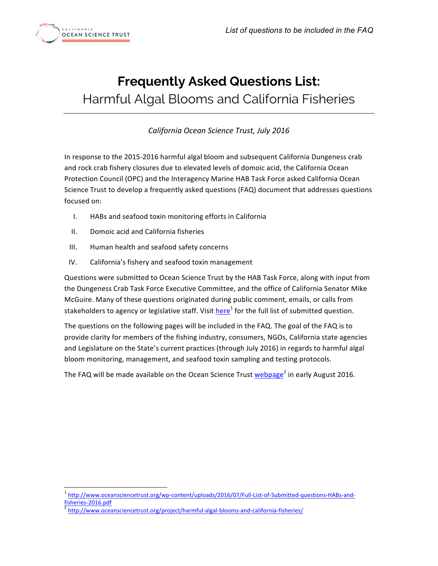

# **Frequently Asked Questions List:**  Harmful Algal Blooms and California Fisheries

*California Ocean Science Trust, July 2016*

In response to the 2015-2016 harmful algal bloom and subsequent California Dungeness crab and rock crab fishery closures due to elevated levels of domoic acid, the California Ocean Protection Council (OPC) and the Interagency Marine HAB Task Force asked California Ocean Science Trust to develop a frequently asked questions (FAQ) document that addresses questions focused on:

- I. HABs and seafood toxin monitoring efforts in California
- II. Domoic acid and California fisheries
- III. Human health and seafood safety concerns
- IV. California's fishery and seafood toxin management

Questions were submitted to Ocean Science Trust by the HAB Task Force, along with input from the Dungeness Crab Task Force Executive Committee, and the office of California Senator Mike McGuire. Many of these questions originated during public comment, emails, or calls from stakeholders to agency or legislative staff. Visit [here](http://www.oceansciencetrust.org/wp-content/uploads/2016/07/Full-List-of-Submitted-questions-HABs-and-fisheries-2016.pdf)<sup>1</sup> for the full list of submitted question.

The questions on the following pages will be included in the FAQ. The goal of the FAQ is to provide clarity for members of the fishing industry, consumers, NGOs, California state agencies and Legislature on the State's current practices (through July 2016) in regards to harmful algal bloom monitoring, management, and seafood toxin sampling and testing protocols.

The FAQ will be made available on the Ocean Science Trust [webpage](http://www.oceansciencetrust.org/project/harmful-algal-blooms-and-california-fisheries/)<sup>2</sup> in early August 2016.

<sup>1</sup> [http://www.oceansciencetrust.org/wp-content/uploads/2016/07/Full-List-of-Submitted-questions-HABs-and](http://www.oceansciencetrust.org/wp-content/uploads/2016/07/Full-List-of-Submitted-questions-HABs-and-fisheries-2016.pdf)fisheries-2016.pdf<br><sup>2</sup> <http://www.oceansciencetrust.org/project/harmful-algal-blooms-and-california-fisheries/>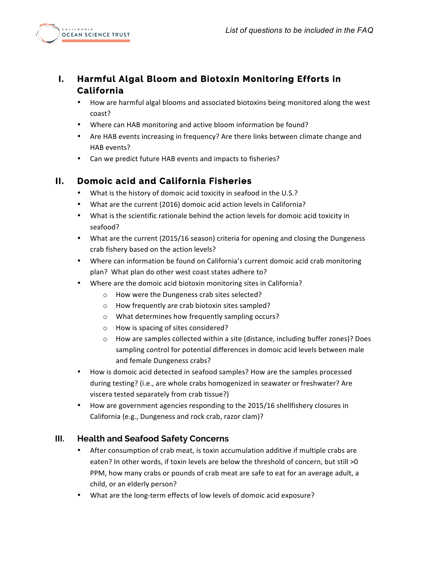

## **I. Harmful Algal Bloom and Biotoxin Monitoring Efforts in California**

- How are harmful algal blooms and associated biotoxins being monitored along the west coast?
- Where can HAB monitoring and active bloom information be found?
- Are HAB events increasing in frequency? Are there links between climate change and HAB events?
- Can we predict future HAB events and impacts to fisheries?

### **II. Domoic acid and California Fisheries**

- What is the history of domoic acid toxicity in seafood in the U.S.?
- What are the current (2016) domoic acid action levels in California?
- What is the scientific rationale behind the action levels for domoic acid toxicity in seafood?
- What are the current (2015/16 season) criteria for opening and closing the Dungeness crab fishery based on the action levels?
- Where can information be found on California's current domoic acid crab monitoring plan? What plan do other west coast states adhere to?
- Where are the domoic acid biotoxin monitoring sites in California?
	- o How were the Dungeness crab sites selected?
	- $\circ$  How frequently are crab biotoxin sites sampled?
	- $\circ$  What determines how frequently sampling occurs?
	- $\circ$  How is spacing of sites considered?
	- $\circ$  How are samples collected within a site (distance, including buffer zones)? Does sampling control for potential differences in domoic acid levels between male and female Dungeness crabs?
- How is domoic acid detected in seafood samples? How are the samples processed during testing? (i.e., are whole crabs homogenized in seawater or freshwater? Are viscera tested separately from crab tissue?)
- How are government agencies responding to the 2015/16 shellfishery closures in California (e.g., Dungeness and rock crab, razor clam)?

#### **III. Health and Seafood Safety Concerns**

- After consumption of crab meat, is toxin accumulation additive if multiple crabs are eaten? In other words, if toxin levels are below the threshold of concern, but still  $>0$ PPM, how many crabs or pounds of crab meat are safe to eat for an average adult, a child, or an elderly person?
- What are the long-term effects of low levels of domoic acid exposure?